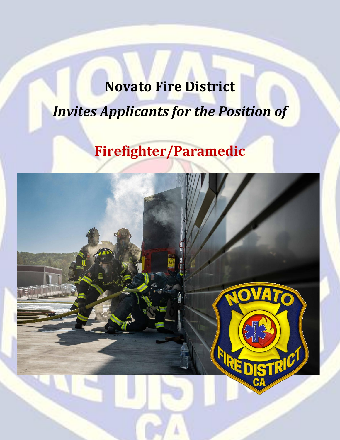# **Novato Fire District** *Invites Applicants for the Position of*

# **Firefighter/Paramedic**

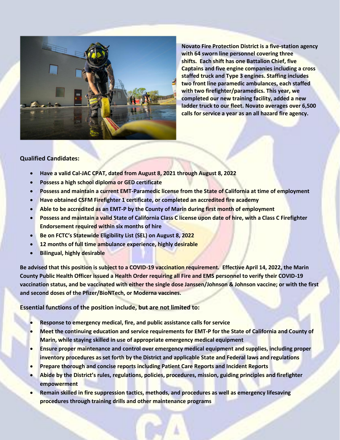

**Novato Fire Protection District is a five-station agency with 64 sworn line personnel covering three shifts. Each shift has one Battalion Chief, five Captains and five engine companies including a cross staffed truck and Type 3 engines. Staffing includes two front line paramedic ambulances, each staffed with two firefighter/paramedics. This year, we completed our new training facility, added a new ladder truck to our fleet. Novato averages over 6,500 calls for service a year as an all hazard fire agency.**

### **Qualified Candidates:**

- **Have a valid Cal-JAC CPAT, dated from August 8, 2021 through August 8, 2022**
- **Possess a high school diploma or GED certificate**
- **Possess and maintain a current EMT-Paramedic license from the State of California at time of employment**
- **Have obtained CSFM Firefighter 1 certificate, or completed an accredited fire academy**
- **Able to be accredited as an EMT-P by the County of Marin during first month of employment**
- **Possess and maintain a valid State of California Class C license upon date of hire, with a Class C Firefighter Endorsement required within six months of hire**
- **Be on FCTC's Statewide Eligibility List (SEL) on August 8, 2022**
- **12 months of full time ambulance experience, highly desirable**
- **Bilingual, highly desirable**

**Be advised that this position is subject to a COVID-19 vaccination requirement. Effective April 14, 2022, the Marin County Public Health Officer issued a Health Order requiring all Fire and EMS personnel to verify their COVID-19 vaccination status, and be vaccinated with either the single dose Janssen/Johnson & Johnson vaccine; or with the first and second doses of the Pfizer/BioNTech, or Moderna vaccines.**

**Essential functions of the position include, but are not limited to:**

- **Response to emergency medical, fire, and public assistance calls for service**
- **Meet the continuing education and service requirements for EMT-P for the State of California and County of Marin, while staying skilled in use of appropriate emergency medical equipment**
- **Ensure proper maintenance and control over emergency medical equipment and supplies, including proper inventory procedures as set forth by the District and applicable State and Federal laws and regulations**
- **Prepare thorough and concise reports including Patient Care Reports and Incident Reports**
- **Abide by the District's rules, regulations, policies, procedures, mission, guiding principles and firefighter empowerment**
- **Remain skilled in fire suppression tactics, methods, and procedures as well as emergency lifesaving procedures through training drills and other maintenance programs**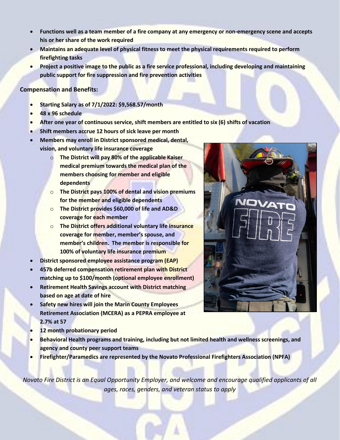- **Functions well as a team member of a fire company at any emergency or non-emergency scene and accepts his or her share of the work required**
- **Maintains an adequate level of physical fitness to meet the physical requirements required to perform firefighting tasks**
- **Project a positive image to the public as a fire service professional, including developing and maintaining public support for fire suppression and fire prevention activities**

## **Compensation and Benefits:**

- **Starting Salary as of 7/1/2022: \$9,568.57/month**
- **48 x 96 schedule**
- **After one year of continuous service, shift members are entitled to six (6) shifts of vacation**
- **Shift members accrue 12 hours of sick leave per month**
- **Members may enroll in District sponsored medical, dental, vision, and voluntary life insurance coverage**
	- o **The District will pay 80% of the applicable Kaiser medical premium towards the medical plan of the members choosing for member and eligible dependents**
	- o **The District pays 100% of dental and vision premiums for the member and eligible dependents**
	- o **The District provides \$60,000 of life and AD&D coverage for each member**
	- o **The District offers additional voluntary life insurance coverage for member, member's spouse, and member's children. The member is responsible for 100% of voluntary life insurance premium**
- **District sponsored employee assistance program (EAP)**
- **457b deferred compensation retirement plan with District matching up to \$100/month (optional employee enrollment)**
- **Retirement Health Savings account with District matching based on age at date of hire**
- **Safety new hires will join the Marin County Employees Retirement Association (MCERA) as a PEPRA employee at 2.7% at 57**
- **12 month probationary period**
- **Behavioral Health programs and training, including but not limited health and wellness screenings, and agency and county peer support teams**
- **Firefighter/Paramedics are represented by the Novato Professional Firefighters Association (NPFA)**

*Novato Fire District is an Equal Opportunity Employer, and welcome and encourage qualified applicants of all ages, races, genders, and veteran status to apply*